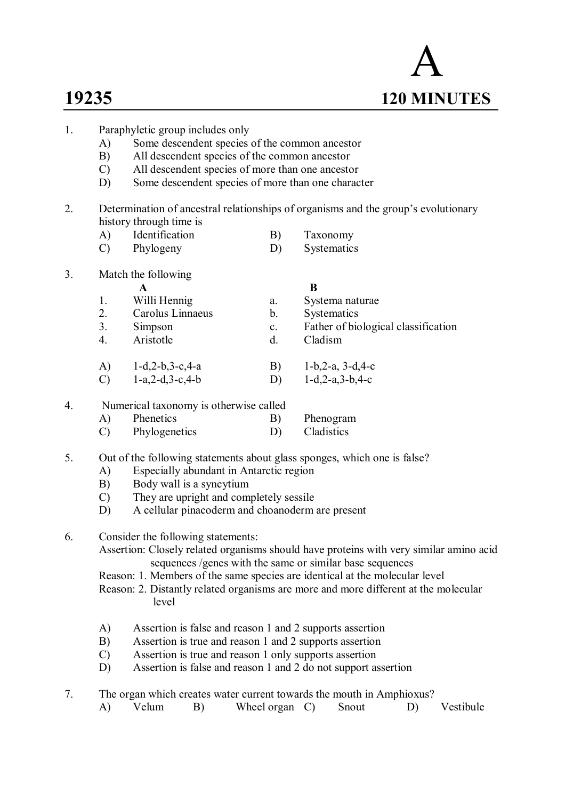# A **19235 120 MINUTES**

- 1. Paraphyletic group includes only A) Some descendent species of the common ancestor B) All descendent species of the common ancestor C) All descendent species of more than one ancestor D) Some descendent species of more than one character 2. Determination of ancestral relationships of organisms and the group's evolutionary history through time is A) Identification B) Taxonomy C) Phylogeny D) Systematics 3. Match the following **A B** 1. Willi Hennig a. Systema naturae 2. Carolus Linnaeus b. Systematics 3. Simpson c. Father of biological classification 4. Aristotle d. Cladism A) 1-d,2-b,3-c,4-a B) 1-b,2-a, 3-d,4-c C) 1-a,2-d,3-c,4-b D) 1-d,2-a,3-b,4-c 4. Numerical taxonomy is otherwise called A) Phenetics B) Phenogram C) Phylogenetics D) Cladistics 5. Out of the following statements about glass sponges, which one is false? A) Especially abundant in Antarctic region B) Body wall is a syncytium C) They are upright and completely sessile
	- D) A cellular pinacoderm and choanoderm are present
- 6. Consider the following statements:

Assertion: Closely related organisms should have proteins with very similar amino acid sequences /genes with the same or similar base sequences

Reason: 1. Members of the same species are identical at the molecular level

Reason: 2. Distantly related organisms are more and more different at the molecular level

- A) Assertion is false and reason 1 and 2 supports assertion
- B) Assertion is true and reason 1 and 2 supports assertion
- C) Assertion is true and reason 1 only supports assertion
- D) Assertion is false and reason 1 and 2 do not support assertion
- 7. The organ which creates water current towards the mouth in Amphioxus?

|  | Velum |  | Wheel organ |  | Snout |  | Vestibule |
|--|-------|--|-------------|--|-------|--|-----------|
|--|-------|--|-------------|--|-------|--|-----------|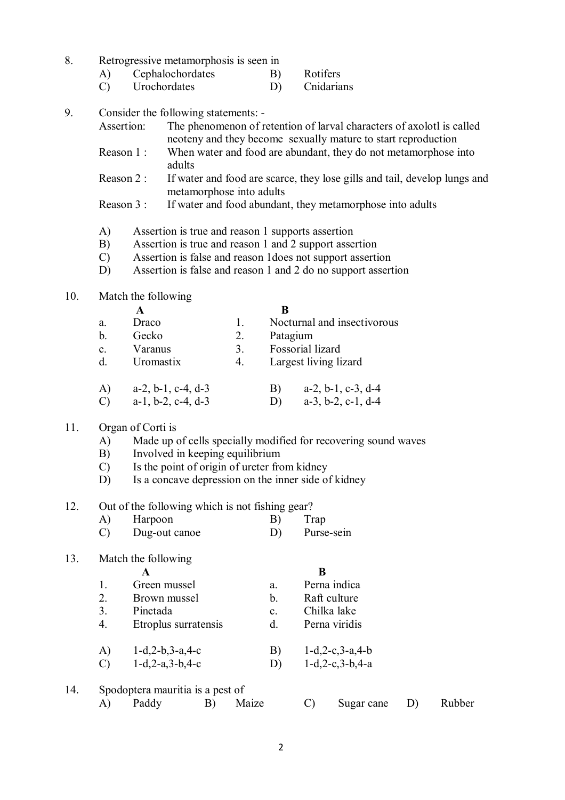- 8. Retrogressive metamorphosis is seen in
	- A) Cephalochordates B) Rotifers
	- C) Urochordates D) Cnidarians
- 9. Consider the following statements:
	- Assertion: The phenomenon of retention of larval characters of axolotl is called neoteny and they become sexually mature to start reproduction
	- Reason 1 : When water and food are abundant, they do not metamorphose into adults
	- Reason 2 : If water and food are scarce, they lose gills and tail, develop lungs and metamorphose into adults
	- Reason 3 : If water and food abundant, they metamorphose into adults
	- A) Assertion is true and reason 1 supports assertion
	- B) Assertion is true and reason 1 and 2 support assertion
	- C) Assertion is false and reason 1does not support assertion
	- D) Assertion is false and reason 1 and 2 do no support assertion

#### 10. Match the following

| a.             | Draco                         | 1. | Nocturnal and insectivorous         |
|----------------|-------------------------------|----|-------------------------------------|
| $\mathbf b$ .  | Gecko                         | 2. | Patagium                            |
| $\mathbf{c}$ . | Varanus                       | 3. | Fossorial lizard                    |
| $\mathbf{d}$ . | Uromastix                     | 4. | Largest living lizard               |
| A)             | $a-2$ , $b-1$ , $c-4$ , $d-3$ |    | $a-2$ , $b-1$ , $c-3$ , $d-4$<br>B) |
| $\mathcal{C}$  | $a-1$ , $b-2$ , $c-4$ , $d-3$ |    | $a-3$ , $b-2$ , $c-1$ , $d-4$<br>D) |

#### 11. Organ of Corti is

- A) Made up of cells specially modified for recovering sound waves
- B) Involved in keeping equilibrium
- C) Is the point of origin of ureter from kidney
- D) Is a concave depression on the inner side of kidney

#### 12. Out of the following which is not fishing gear?

- A) Harpoon B) Trap
- C) Dug-out canoe D) Purse-sein

#### 13. Match the following

## **A B**

1. Green mussel a. Perna indica 2. Brown mussel b. Raft culture 3. Pinctada c. Chilka lake 4. Etroplus surratensis d. Perna viridis A) 1-d,2-b,3-a,4-c B) 1-d,2-c,3-a,4-b<br>C) 1-d,2-a,3-b,4-c D) 1-d,2-c,3-b,4-a C)  $1-d, 2-a, 3-b, 4-c$  D)

# 14. Spodoptera mauritia is a pest of

- 
- A) Paddy B) Maize C) Sugar cane D) Rubber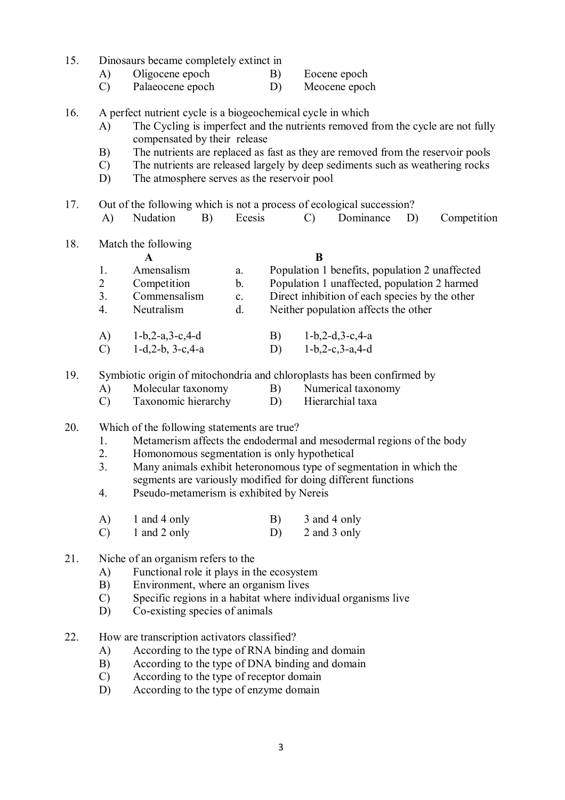| 15. | Dinosaurs became completely extinct in |
|-----|----------------------------------------|
|-----|----------------------------------------|

- A) Oligocene epoch B) Eocene epoch
- C) Palaeocene epoch D) Meocene epoch
- 16. A perfect nutrient cycle is a biogeochemical cycle in which
	- A) The Cycling is imperfect and the nutrients removed from the cycle are not fully compensated by their release
	- B) The nutrients are replaced as fast as they are removed from the reservoir pools
	- C) The nutrients are released largely by deep sediments such as weathering rocks
	- D) The atmosphere serves as the reservoir pool
- 17. Out of the following which is not a process of ecological succession?
	- A) Nudation B) Ecesis C) Dominance D) Competition
- 18. Match the following

|                |                      |                | В                                              |
|----------------|----------------------|----------------|------------------------------------------------|
|                | Amensalism           | a.             | Population 1 benefits, population 2 unaffected |
| 2              | Competition          | $\mathbf b$ .  | Population 1 unaffected, population 2 harmed   |
| 3.             | Commensalism         | $\mathbf{c}$ . | Direct inhibition of each species by the other |
| $\overline{4}$ | Neutralism           | d.             | Neither population affects the other           |
| A)             | $1-b, 2-a, 3-c, 4-d$ |                | $1-b, 2-d, 3-c, 4-a$                           |

- C) 1-d,2-b, 3-c,4-a D) 1-b,2-c,3-a,4-d
- 19. Symbiotic origin of mitochondria and chloroplasts has been confirmed by
	- A) Molecular taxonomy B) Numerical taxonomy
	- C) Taxonomic hierarchy D) Hierarchial taxa
- 20. Which of the following statements are true?
	- 1. Metamerism affects the endodermal and mesodermal regions of the body<br>2. Homonomous segmentation is only hypothetical
	- 2. Homonomous segmentation is only hypothetical
	- 3. Many animals exhibit heteronomous type of segmentation in which the segments are variously modified for doing different functions
	- 4. Pseudo-metamerism is exhibited by Nereis
	- A) 1 and 4 only B) 3 and 4 only
	- C) 1 and 2 only D) 2 and 3 only
- 21. Niche of an organism refers to the
	- A) Functional role it plays in the ecosystem
	- B) Environment, where an organism lives
	- C) Specific regions in a habitat where individual organisms live
	- D) Co-existing species of animals
- 22. How are transcription activators classified?
	- A) According to the type of RNA binding and domain
	- B) According to the type of DNA binding and domain
	- C) According to the type of receptor domain
	- D) According to the type of enzyme domain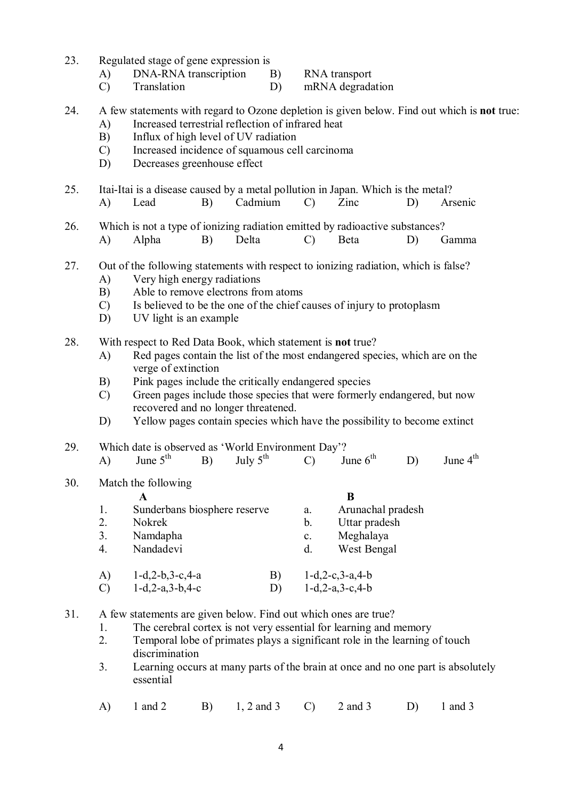- 23. Regulated stage of gene expression is
	- A) DNA-RNA transcription B) RNA transport
	- C) Translation D) mRNA degradation

#### 24. A few statements with regard to Ozone depletion is given below. Find out which is **not** true:

- A) Increased terrestrial reflection of infrared heat
- B) Influx of high level of UV radiation
- C) Increased incidence of squamous cell carcinoma
- D) Decreases greenhouse effect
- 25. Itai-Itai is a disease caused by a metal pollution in Japan. Which is the metal?
- A) Lead B) Cadmium C) Zinc D) Arsenic
- 26. Which is not a type of ionizing radiation emitted by radioactive substances?
- A) Alpha B) Delta C) Beta D) Gamma
- 27. Out of the following statements with respect to ionizing radiation, which is false?
	- A) Very high energy radiations
	- B) Able to remove electrons from atoms
	- C) Is believed to be the one of the chief causes of injury to protoplasm
	- D) UV light is an example
- 28. With respect to Red Data Book, which statement is **not** true?
	- A) Red pages contain the list of the most endangered species, which are on the verge of extinction
	- B) Pink pages include the critically endangered species
	- C) Green pages include those species that were formerly endangered, but now recovered and no longer threatened.
	- D) Yellow pages contain species which have the possibility to become extinct
- 29. Which date is observed as 'World Environment Day'?<br>A) June  $5^{th}$  B) July  $5^{th}$  C) June  $6^{th}$ 
	- A) June  $5^{th}$  B) July  $5^{th}$  C) June  $6^{th}$  D) June  $4^{th}$
- 30. Match the following

| 1. | Sunderbans biosphere reserve |    | a.             | Arunachal pradesh    |
|----|------------------------------|----|----------------|----------------------|
| 2. | <b>Nokrek</b>                |    | b.             | Uttar pradesh        |
| 3. | Namdapha                     |    | $\mathbf{c}$ . | Meghalaya            |
| 4. | Nandadevi                    |    | $d_{\cdot}$    | West Bengal          |
| A) | $1-d, 2-b, 3-c, 4-a$         | B) |                | $1-d, 2-c, 3-a, 4-b$ |
| C) | $1-d, 2-a, 3-b, 4-c$         | D) |                | $1-d, 2-a, 3-c, 4-b$ |

- 31. A few statements are given below. Find out which ones are true?
	- 1. The cerebral cortex is not very essential for learning and memory
	- 2. Temporal lobe of primates plays a significant role in the learning of touch discrimination
	- 3. Learning occurs at many parts of the brain at once and no one part is absolutely essential
	- A) 1 and 2 B) 1, 2 and 3 C) 2 and 3 D) 1 and 3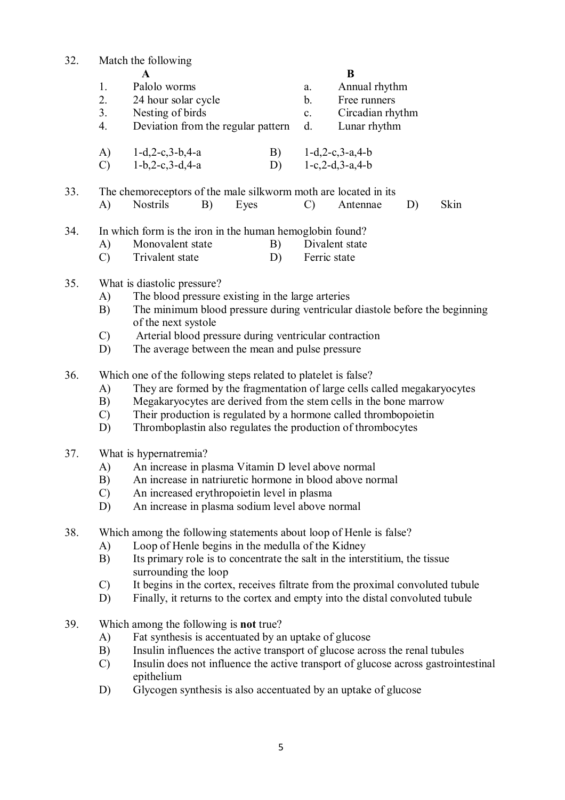| 32. | Match the following                                                                                      |                                                   |    |                |                      |    |      |  |  |
|-----|----------------------------------------------------------------------------------------------------------|---------------------------------------------------|----|----------------|----------------------|----|------|--|--|
|     |                                                                                                          | A                                                 |    | B              |                      |    |      |  |  |
|     | 1.                                                                                                       | Palolo worms                                      |    | a.             | Annual rhythm        |    |      |  |  |
|     | 2.                                                                                                       | 24 hour solar cycle                               |    | $\mathbf{b}$ . | Free runners         |    |      |  |  |
|     | 3.                                                                                                       | Nesting of birds                                  |    | $c_{\cdot}$    | Circadian rhythm     |    |      |  |  |
|     | 4.                                                                                                       | Deviation from the regular pattern                |    | d.             | Lunar rhythm         |    |      |  |  |
|     |                                                                                                          | A) $1-d, 2-c, 3-b, 4-a$                           | B) |                | $1-d, 2-c, 3-a, 4-b$ |    |      |  |  |
|     | $\mathcal{C}$                                                                                            | $1-b, 2-c, 3-d, 4-a$                              | D) |                | $1-c, 2-d, 3-a, 4-b$ |    |      |  |  |
| 33. | The chemoreceptors of the male silkworm moth are located in its                                          |                                                   |    |                |                      |    |      |  |  |
|     | A)                                                                                                       | <b>Nostrils</b><br>B)<br>Eyes                     |    | $\mathcal{C}$  | Antennae             | D) | Skin |  |  |
| 34. | In which form is the iron in the human hemoglobin found?                                                 |                                                   |    |                |                      |    |      |  |  |
|     | A)                                                                                                       | Monovalent state                                  | B) |                | Divalent state       |    |      |  |  |
|     | $\mathcal{C}$                                                                                            | Trivalent state                                   | D) |                | Ferric state         |    |      |  |  |
| 35. |                                                                                                          | What is diastolic pressure?                       |    |                |                      |    |      |  |  |
|     | A)                                                                                                       | The blood pressure existing in the large arteries |    |                |                      |    |      |  |  |
|     | The minimum blood pressure during ventricular diastole before the beginning<br>B)<br>of the next systole |                                                   |    |                |                      |    |      |  |  |

- C) Arterial blood pressure during ventricular contraction
- D) The average between the mean and pulse pressure
- 36. Which one of the following steps related to platelet is false?
	- A) They are formed by the fragmentation of large cells called megakaryocytes
	- B) Megakaryocytes are derived from the stem cells in the bone marrow
	- C) Their production is regulated by a hormone called thrombopoietin
	- D) Thromboplastin also regulates the production of thrombocytes

#### 37. What is hypernatremia?

- A) An increase in plasma Vitamin D level above normal
- B) An increase in natriuretic hormone in blood above normal
- C) An increased erythropoietin level in plasma
- D) An increase in plasma sodium level above normal

38. Which among the following statements about loop of Henle is false?

- A) Loop of Henle begins in the medulla of the Kidney<br>B) Its primary role is to concentrate the salt in the inter
- Its primary role is to concentrate the salt in the interstitium, the tissue surrounding the loop
- C) It begins in the cortex, receives filtrate from the proximal convoluted tubule
- D) Finally, it returns to the cortex and empty into the distal convoluted tubule
- 39. Which among the following is **not** true?
	- A) Fat synthesis is accentuated by an uptake of glucose
	- B) Insulin influences the active transport of glucose across the renal tubules
	- C) Insulin does not influence the active transport of glucose across gastrointestinal epithelium
	- D) Glycogen synthesis is also accentuated by an uptake of glucose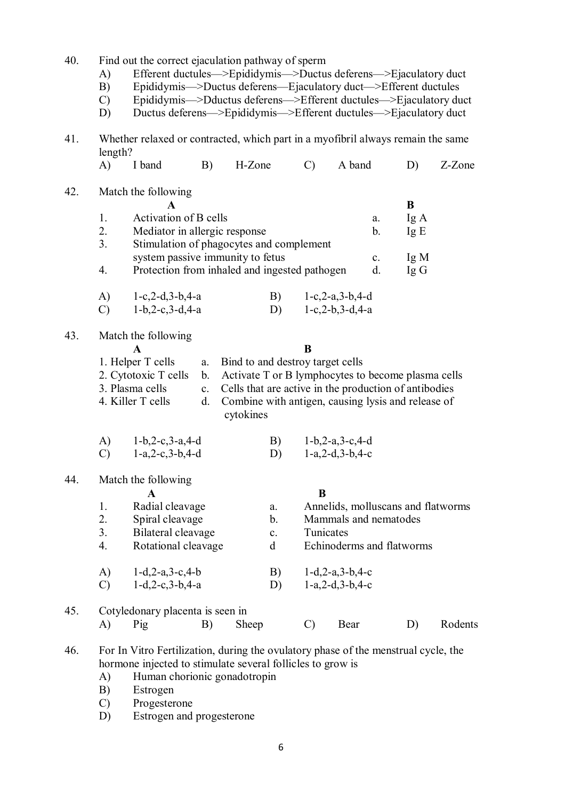| 40.<br>Find out the correct ejaculation pathway of sperm |               |                                                                                              |    |                                  |                |               |                                                    |  |        |         |
|----------------------------------------------------------|---------------|----------------------------------------------------------------------------------------------|----|----------------------------------|----------------|---------------|----------------------------------------------------|--|--------|---------|
|                                                          | $\mathbf{A}$  | Efferent ductules—>Epididymis—>Ductus deferens—>Ejaculatory duct                             |    |                                  |                |               |                                                    |  |        |         |
|                                                          | B)            | Epididymis->Ductus deferens-Ejaculatory duct->Efferent ductules                              |    |                                  |                |               |                                                    |  |        |         |
|                                                          | $\mathcal{C}$ | Epididymis->Dductus deferens->Efferent ductules->Ejaculatory duct                            |    |                                  |                |               |                                                    |  |        |         |
|                                                          | D)            | Ductus deferens—>Epididymis—>Efferent ductules—>Ejaculatory duct                             |    |                                  |                |               |                                                    |  |        |         |
| 41.                                                      | length?       | Whether relaxed or contracted, which part in a myofibril always remain the same              |    |                                  |                |               |                                                    |  |        |         |
|                                                          | $\bf{A}$      | I band                                                                                       | B) | H-Zone                           |                | $\mathcal{C}$ | A band                                             |  | D)     | Z-Zone  |
| 42.                                                      |               | Match the following                                                                          |    |                                  |                |               |                                                    |  |        |         |
|                                                          |               | $\mathbf{A}$                                                                                 |    |                                  |                |               |                                                    |  | B      |         |
|                                                          | 1.            | Activation of B cells                                                                        |    |                                  |                |               | a.                                                 |  | Ig A   |         |
|                                                          | 2.            | Mediator in allergic response                                                                |    |                                  |                |               | b.                                                 |  | Ig E   |         |
|                                                          | 3.            | Stimulation of phagocytes and complement                                                     |    |                                  |                |               |                                                    |  |        |         |
|                                                          |               | system passive immunity to fetus                                                             |    |                                  |                |               | $\mathbf{c}$ .                                     |  | Ig M   |         |
|                                                          | 4.            | Protection from inhaled and ingested pathogen                                                |    |                                  |                |               | d.                                                 |  | $Ig$ G |         |
|                                                          | A)            | $1-c, 2-d, 3-b, 4-a$                                                                         |    |                                  | B)             |               | $1-c, 2-a, 3-b, 4-d$                               |  |        |         |
|                                                          | $\mathcal{C}$ | $1-b, 2-c, 3-d, 4-a$                                                                         |    |                                  | D)             |               | $1-c, 2-b, 3-d, 4-a$                               |  |        |         |
| 43.                                                      |               | Match the following                                                                          |    |                                  |                |               |                                                    |  |        |         |
|                                                          |               | $\mathbf A$                                                                                  |    |                                  |                | B             |                                                    |  |        |         |
|                                                          |               | 1. Helper T cells                                                                            | a. | Bind to and destroy target cells |                |               |                                                    |  |        |         |
|                                                          |               | 2. Cytotoxic T cells<br>Activate T or B lymphocytes to become plasma cells<br>$\mathbf{b}$ . |    |                                  |                |               |                                                    |  |        |         |
|                                                          |               | 3. Plasma cells<br>Cells that are active in the production of antibodies<br>$\mathbf{c}$ .   |    |                                  |                |               |                                                    |  |        |         |
|                                                          |               | 4. Killer T cells                                                                            | d. |                                  |                |               | Combine with antigen, causing lysis and release of |  |        |         |
|                                                          |               |                                                                                              |    | cytokines                        |                |               |                                                    |  |        |         |
|                                                          | A)            | $1-b, 2-c, 3-a, 4-d$                                                                         |    |                                  | B)             |               | $1-b, 2-a, 3-c, 4-d$                               |  |        |         |
|                                                          | $\mathcal{C}$ | $1-a, 2-c, 3-b, 4-d$                                                                         |    |                                  | D)             |               | $1-a, 2-d, 3-b, 4-c$                               |  |        |         |
| 44.                                                      |               | Match the following                                                                          |    |                                  |                |               |                                                    |  |        |         |
|                                                          |               | A                                                                                            |    |                                  |                | B             |                                                    |  |        |         |
|                                                          | 1.            | Radial cleavage                                                                              |    |                                  | a.             |               | Annelids, molluscans and flatworms                 |  |        |         |
|                                                          | 2.            | Spiral cleavage                                                                              |    |                                  | b.             |               | Mammals and nematodes                              |  |        |         |
|                                                          | 3.            | Bilateral cleavage                                                                           |    |                                  | $\mathbf{c}$ . | Tunicates     |                                                    |  |        |         |
|                                                          | 4.            | Rotational cleavage                                                                          |    |                                  | d              |               | Echinoderms and flatworms                          |  |        |         |
|                                                          | A)            | $1-d, 2-a, 3-c, 4-b$                                                                         |    |                                  | B)             |               | $1-d, 2-a, 3-b, 4-c$                               |  |        |         |
|                                                          | $\mathcal{C}$ | $1-d, 2-c, 3-b, 4-a$                                                                         |    |                                  | D)             |               | $1-a, 2-d, 3-b, 4-c$                               |  |        |         |
| 45.                                                      |               | Cotyledonary placenta is seen in                                                             |    |                                  |                |               |                                                    |  |        |         |
|                                                          | A)            | Pig                                                                                          | B) | Sheep                            |                | $\mathcal{C}$ | Bear                                               |  | D)     | Rodents |
| 46.                                                      |               | For In Vitro Fertilization, during the ovulatory phase of the menstrual cycle, the           |    |                                  |                |               |                                                    |  |        |         |
|                                                          |               | hormone injected to stimulate several follicles to grow is                                   |    |                                  |                |               |                                                    |  |        |         |
|                                                          | A)            | Human chorionic gonadotropin                                                                 |    |                                  |                |               |                                                    |  |        |         |
|                                                          | B)            | Estrogen                                                                                     |    |                                  |                |               |                                                    |  |        |         |

- C) Progesterone
- D) Estrogen and progesterone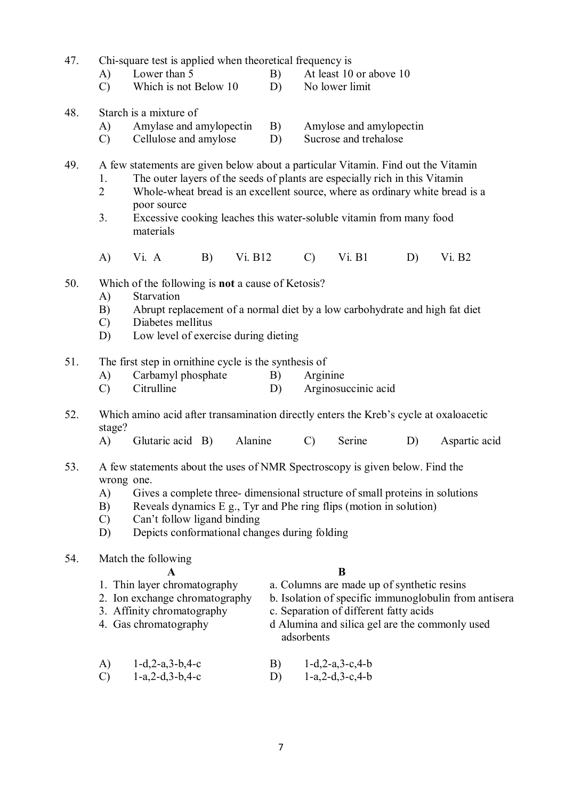- 47. Chi-square test is applied when theoretical frequency is
	- A) Lower than 5 B) At least 10 or above 10
	- C) Which is not Below 10 D) No lower limit
- 48. Starch is a mixture of
	- A) Amylase and amylopectin B) Amylose and amylopectin<br>C) Cellulose and amylose D) Sucrose and trehalose
	- $\text{Cellulose}$  and amylose  $\text{D}$
- 49. A few statements are given below about a particular Vitamin. Find out the Vitamin
	- 1. The outer layers of the seeds of plants are especially rich in this Vitamin
	- 2 Whole-wheat bread is an excellent source, where as ordinary white bread is a poor source
	- 3. Excessive cooking leaches this water-soluble vitamin from many food materials
	- A) Vi. A B) Vi. B12 C) Vi. B1 D) Vi. B2
- 50. Which of the following is **not** a cause of Ketosis?
	- A) Starvation
	- B) Abrupt replacement of a normal diet by a low carbohydrate and high fat diet
	- C) Diabetes mellitus
	- D) Low level of exercise during dieting
- 51. The first step in ornithine cycle is the synthesis of
	- A) Carbamyl phosphate B) Arginine
	- C) Citrulline D) Arginosuccinic acid
- 52. Which amino acid after transamination directly enters the Kreb's cycle at oxaloacetic stage?
	- A) Glutaric acid B) Alanine C) Serine D) Aspartic acid
- 53. A few statements about the uses of NMR Spectroscopy is given below. Find the wrong one.
	- A) Gives a complete three- dimensional structure of small proteins in solutions
	- B) Reveals dynamics E g., Tyr and Phe ring flips (motion in solution)
	- C) Can't follow ligand binding
	- D) Depicts conformational changes during folding
- 54. Match the following

- **A B**
- 1. Thin layer chromatography a. Columns are made up of synthetic resins
- 2. Ion exchange chromatography b. Isolation of specific immunoglobulin from antisera
- 3. Affinity chromatography c. Separation of different fatty acids
- 
- 4. Gas chromatography d Alumina and silica gel are the commonly used adsorbents
- A) 1-d,2-a,3-b,4-c B) 1-d,2-a,3-c,4-b C) 1-a,2-d,3-b,4-c D) 1-a,2-d,3-c,4-b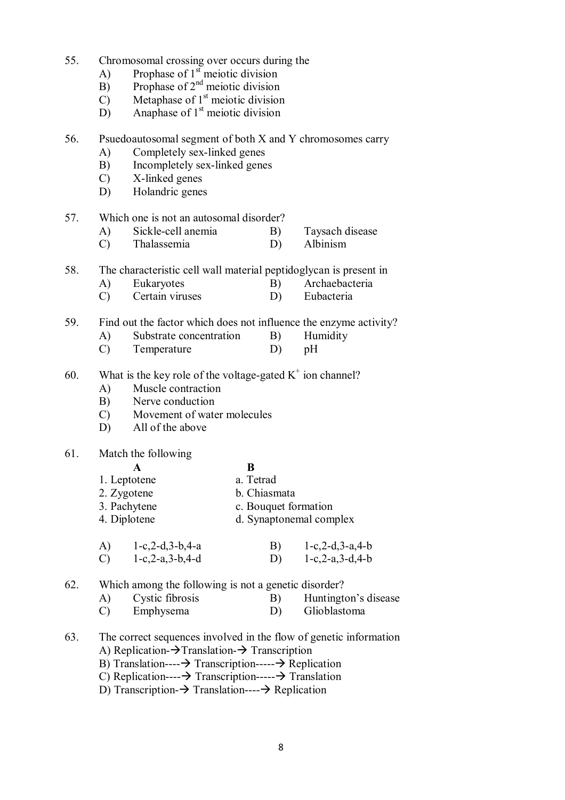- 55. Chromosomal crossing over occurs during the
	- A) Prophase of  $1<sup>st</sup>$  meiotic division
	- B) Prophase of  $2<sup>nd</sup>$  meiotic division
	- C) Metaphase of  $1<sup>st</sup>$  meiotic division
	- $\overrightarrow{D}$  Anaphase of 1<sup>st</sup> meiotic division

#### 56. Psuedoautosomal segment of both X and Y chromosomes carry

- A) Completely sex-linked genes
- B) Incompletely sex-linked genes
- C) X-linked genes
- D) Holandric genes

#### 57. Which one is not an autosomal disorder?

- A) Sickle-cell anemia B) Taysach disease
- C) Thalassemia D) Albinism
- 58. The characteristic cell wall material peptidoglycan is present in
	- A) Eukaryotes B) Archaebacteria
	- C) Certain viruses D) Eubacteria
- 59. Find out the factor which does not influence the enzyme activity?
	- A) Substrate concentration B) Humidity
	- C) Temperature D) pH
- 60. What is the key role of the voltage-gated  $K^+$  ion channel?
	- A) Muscle contraction
	- B) Nerve conduction
	- C) Movement of water molecules
	- D) All of the above

#### 61. Match the following

| A | B |
|---|---|
|   |   |

- 1. Leptotene a. Tetrad
- 2. Zygotene b. Chiasmata
- 3. Pachytene c. Bouquet formation
- 4. Diplotene d. Synaptonemal complex
- A) 1-c,2-d,3-b,4-a B) 1-c,2-d,3-a,4-b<br>C) 1-c,2-a,3-b,4-d D) 1-c,2-a,3-d,4-b C)  $1-c, 2-a, 3-b, 4-d$

62. Which among the following is not a genetic disorder?<br>A) Cystic fibrosis B) Huntington

- A) Cystic fibrosis B) Huntington's disease
- C) Emphysema D) Glioblastoma
- 63. The correct sequences involved in the flow of genetic information A) Replication- $\rightarrow$ Translation- $\rightarrow$  Transcription
	- B) Translation---- $\rightarrow$  Transcription----- $\rightarrow$  Replication
	- C) Replication---- $\rightarrow$  Transcription----- $\rightarrow$  Translation
	- D) Transcription- $\rightarrow$  Translation---- $\rightarrow$  Replication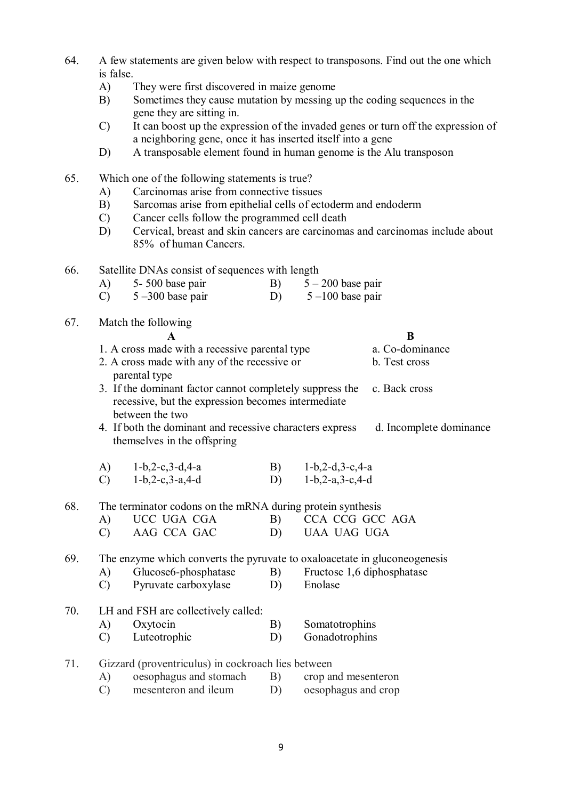- 64. A few statements are given below with respect to transposons. Find out the one which is false.
	- A) They were first discovered in maize genome
	- B) Sometimes they cause mutation by messing up the coding sequences in the gene they are sitting in.
	- C) It can boost up the expression of the invaded genes or turn off the expression of a neighboring gene, once it has inserted itself into a gene
	- D) A transposable element found in human genome is the Alu transposon

## 65. Which one of the following statements is true?

- A) Carcinomas arise from connective tissues
- B) Sarcomas arise from epithelial cells of ectoderm and endoderm
- C) Cancer cells follow the programmed cell death
- D) Cervical, breast and skin cancers are carcinomas and carcinomas include about 85% of human Cancers.
- 66. Satellite DNAs consist of sequences with length
	- A)  $5-500$  base pair B)  $5-200$  base pair
	- C)  $5-300$  base pair D)  $5-100$  base pair
- 67. Match the following

**A B** 1. A cross made with a recessive parental type a. Co-dominance

- 2. A cross made with any of the recessive or b. Test cross
- parental type 3. If the dominant factor cannot completely suppress the c. Back cross recessive, but the expression becomes intermediate between the two

4. If both the dominant and recessive characters express d. Incomplete dominance themselves in the offspring

- A) 1-b,2-c,3-d,4-a B) 1-b,2-d,3-c,4-a C) 1-b,2-c,3-a,4-d D) 1-b,2-a,3-c,4-d
- 68. The terminator codons on the mRNA during protein synthesis
	- A) UCC UGA CGA B) CCA CCG GCC AGA
	- C) AAG CCA GAC D) UAA UAG UGA

## 69. The enzyme which converts the pyruvate to oxaloacetate in gluconeogenesis

- A) Glucose6-phosphatase B) Fructose 1,6 diphosphatase C) Pyruvate carboxylase D) Enolase
- 70. LH and FSH are collectively called: A) Oxytocin B) Somatotrophins
	- C) Luteotrophic D) Gonadotrophins
- 71. Gizzard (proventriculus) in cockroach lies between
	- A) oesophagus and stomach B) crop and mesenteron
	- C) mesenteron and ileum D) oesophagus and crop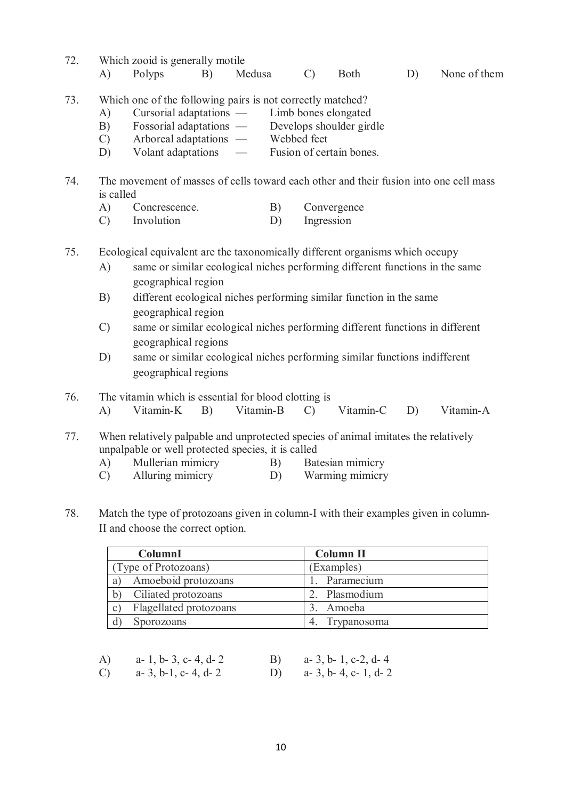- 72. Which zooid is generally motile A) Polyps B) Medusa C) Both D) None of them
- 73. Which one of the following pairs is not correctly matched?
	- A) Cursorial adaptations Limb bones elongated
	- B) Fossorial adaptations Develops shoulder girdle<br>
	C) Arboreal adaptations Webbed feet
	- Arboreal adaptations —<br>Volant adaptations —
	- D) Volant adaptations Fusion of certain bones.
- 74. The movement of masses of cells toward each other and their fusion into one cell mass is called
	- A) Concrescence. B) Convergence
	- C) Involution D) Ingression
- 75. Ecological equivalent are the taxonomically different organisms which occupy
	- A) same or similar ecological niches performing different functions in the same geographical region
	- B) different ecological niches performing similar function in the same geographical region
	- C) same or similar ecological niches performing different functions in different geographical regions
	- D) same or similar ecological niches performing similar functions indifferent geographical regions
- 76. The vitamin which is essential for blood clotting is
	- A) Vitamin-K B) Vitamin-B C) Vitamin-C D) Vitamin-A
- 77. When relatively palpable and unprotected species of animal imitates the relatively unpalpable or well protected species, it is called
	- A) Mullerian mimicry B) Batesian mimicry
	- C) Alluring mimicry D) Warming mimicry
- 78. Match the type of protozoans given in column-I with their examples given in column-II and choose the correct option.

| ColumnI                                | Column II        |
|----------------------------------------|------------------|
| (Type of Protozoans)                   | (Examples)       |
| Amoeboid protozoans<br>a               | Paramecium       |
| Ciliated protozoans<br>b)              | 2. Plasmodium    |
| Flagellated protozoans<br>$\mathbf{C}$ | Amoeba           |
| Sporozoans                             | Trypanosoma<br>4 |

| A)            | $a-1$ , $b-3$ , $c-4$ , $d-2$ | B) $a-3, b-1, c-2, d-4$ |
|---------------|-------------------------------|-------------------------|
| $\mathcal{C}$ | a- 3, b-1, c- 4, d- 2         | D) $a-3, b-4, c-1, d-2$ |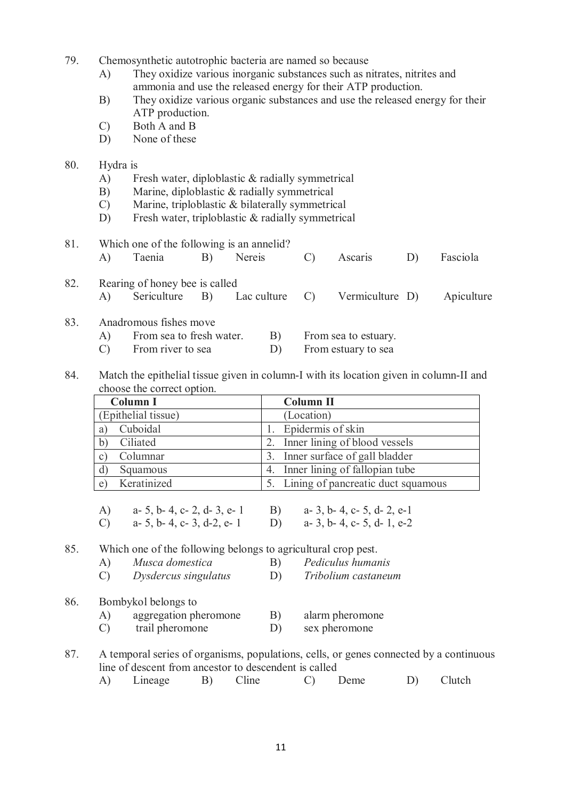- 79. Chemosynthetic autotrophic bacteria are named so because
	- A) They oxidize various inorganic substances such as nitrates, nitrites and ammonia and use the released energy for their ATP production.
	- B) They oxidize various organic substances and use the released energy for their ATP production.
	- C) Both A and B
	- D) None of these

#### 80. Hydra is

- A) Fresh water, diploblastic & radially symmetrical
- B) Marine, diploblastic & radially symmetrical
- C) Marine, triploblastic & bilaterally symmetrical
- D) Fresh water, triploblastic & radially symmetrical

| 81. | Which one of the following is an annelid? |                                |    |        |               |                                               |    |            |
|-----|-------------------------------------------|--------------------------------|----|--------|---------------|-----------------------------------------------|----|------------|
|     | A)                                        | Taenia                         | B) | Nereis | $\mathcal{C}$ | Ascaris                                       | D) | Fasciola   |
| 82. |                                           | Rearing of honey bee is called |    |        |               |                                               |    |            |
|     | A)                                        |                                |    |        |               | Sericulture B) Lac culture C) Vermiculture D) |    | Apiculture |
| 83. |                                           | Anadromous fishes move         |    |        |               |                                               |    |            |
|     | A)                                        | From sea to fresh water.       |    | B)     |               | From sea to estuary.                          |    |            |
|     |                                           | From river to sea              |    |        |               | From estuary to sea                           |    |            |

84. Match the epithelial tissue given in column-I with its location given in column-II and choose the correct option.

| $\mathbf{u}$ and $\mathbf{v}$ and $\mathbf{v}$ and $\mathbf{v}$ and $\mathbf{v}$ and $\mathbf{v}$ |                                       |
|---------------------------------------------------------------------------------------------------|---------------------------------------|
| Column I                                                                                          | <b>Column II</b>                      |
| (Epithelial tissue)                                                                               | (Location)                            |
| Cuboidal<br>a)                                                                                    | Epidermis of skin                     |
| Ciliated                                                                                          | Inner lining of blood vessels         |
| Columnar<br>$\mathbf{C}$                                                                          | 3. Inner surface of gall bladder      |
| $\mathbf{d}$<br>Squamous                                                                          | Inner lining of fallopian tube        |
| Keratinized<br>e)                                                                                 | 5. Lining of pancreatic duct squamous |
|                                                                                                   |                                       |

| A)            | a- 5, b- 4, c- 2, d- 3, e- 1 | <b>B</b> ) | a- 3, b- 4, c- 5, d- 2, e-1   |
|---------------|------------------------------|------------|-------------------------------|
| $\mathcal{C}$ | a- 5, b- 4, c- 3, d-2, e- 1  |            | D) $a-3$ , b-4, c-5, d-1, e-2 |

85. Which one of the following belongs to agricultural crop pest.

- A) *Musca domestica* B) *Pediculus humanis*
- C) *Dysdercus singulatus* D) *Tribolium castaneum*
- 86. Bombykol belongs to
	- A) aggregation pheromone B) alarm pheromone
	- C) trail pheromone D) sex pheromone
- 87. A temporal series of organisms, populations, cells, or genes connected by a continuous line of descent from ancestor to descendent is called
	- A) Lineage B) Cline C) Deme D) Clutch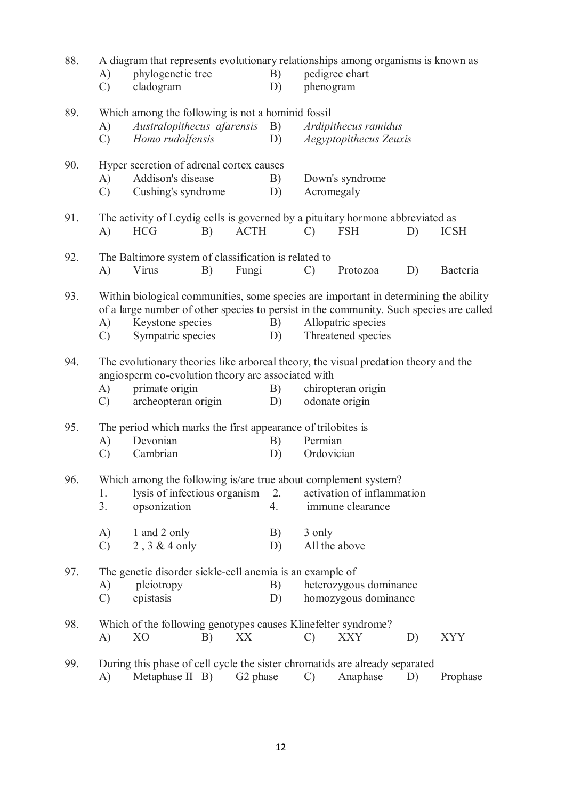| 88. | $\mathbf{A}$<br>$\mathcal{C}$   | A diagram that represents evolutionary relationships among organisms is known as<br>phylogenetic tree<br>cladogram                                                                                                                     |    |                                                                                                                                                              | B)<br>D)             | phenogram                                                                             | pedigree chart                                                  |    |             |
|-----|---------------------------------|----------------------------------------------------------------------------------------------------------------------------------------------------------------------------------------------------------------------------------------|----|--------------------------------------------------------------------------------------------------------------------------------------------------------------|----------------------|---------------------------------------------------------------------------------------|-----------------------------------------------------------------|----|-------------|
| 89. | A)<br>$\mathcal{C}$             | Homo rudolfensis                                                                                                                                                                                                                       |    | Which among the following is not a hominid fossil<br>Australopithecus afarensis<br><b>B</b> )<br>Ardipithecus ramidus<br>D)<br><b>Aegyptopithecus Zeuxis</b> |                      |                                                                                       |                                                                 |    |             |
| 90. | $\mathbf{A}$<br>$\mathcal{C}$   | Hyper secretion of adrenal cortex causes<br>Addison's disease<br>Cushing's syndrome                                                                                                                                                    |    |                                                                                                                                                              | B)<br>D)             | Down's syndrome<br>Acromegaly                                                         |                                                                 |    |             |
| 91. | A)                              | The activity of Leydig cells is governed by a pituitary hormone abbreviated as<br><b>HCG</b>                                                                                                                                           | B) | <b>ACTH</b>                                                                                                                                                  |                      | $\mathcal{C}$                                                                         | <b>FSH</b>                                                      | D) | <b>ICSH</b> |
| 92. | A)                              | The Baltimore system of classification is related to<br>Virus                                                                                                                                                                          | B) | Fungi                                                                                                                                                        |                      | $\mathcal{C}$                                                                         | Protozoa                                                        | D) | Bacteria    |
| 93. | A)<br>$\mathcal{C}$             | Within biological communities, some species are important in determining the ability<br>of a large number of other species to persist in the community. Such species are called<br>Keystone species<br>Sympatric species               |    |                                                                                                                                                              | B)<br>D)             |                                                                                       | Allopatric species<br>Threatened species                        |    |             |
| 94. | A)<br>$\mathcal{C}$             | The evolutionary theories like arboreal theory, the visual predation theory and the<br>angiosperm co-evolution theory are associated with<br>primate origin<br>chiropteran origin<br>B)<br>archeopteran origin<br>odonate origin<br>D) |    |                                                                                                                                                              |                      |                                                                                       |                                                                 |    |             |
| 95. | A)<br>$\mathcal{C}$             | Devonian<br>Cambrian                                                                                                                                                                                                                   |    |                                                                                                                                                              | B)<br>D)             | The period which marks the first appearance of trilobites is<br>Permian<br>Ordovician |                                                                 |    |             |
| 96. | 1.<br>3.<br>A)<br>$\mathcal{C}$ | Which among the following is/are true about complement system?<br>lysis of infectious organism<br>opsonization<br>1 and 2 only<br>2, 3 & 4 only                                                                                        |    |                                                                                                                                                              | 2.<br>4.<br>B)<br>D) | 3 only                                                                                | activation of inflammation<br>immune clearance<br>All the above |    |             |
| 97. | A)<br>$\mathcal{C}$             | The genetic disorder sickle-cell anemia is an example of<br>pleiotropy<br>B)<br>heterozygous dominance<br>epistasis<br>homozygous dominance<br>D)                                                                                      |    |                                                                                                                                                              |                      |                                                                                       |                                                                 |    |             |
| 98. | A)                              | Which of the following genotypes causes Klinefelter syndrome?<br>XX<br><b>XYY</b><br>X <sub>O</sub><br>$\mathcal{C}$<br><b>XXY</b><br>B)<br>D)                                                                                         |    |                                                                                                                                                              |                      |                                                                                       |                                                                 |    |             |
| 99. | $\mathbf{A}$                    | During this phase of cell cycle the sister chromatids are already separated<br>Metaphase II B)                                                                                                                                         |    | G <sub>2</sub> phase                                                                                                                                         |                      | $\mathcal{C}$                                                                         | Anaphase                                                        | D) | Prophase    |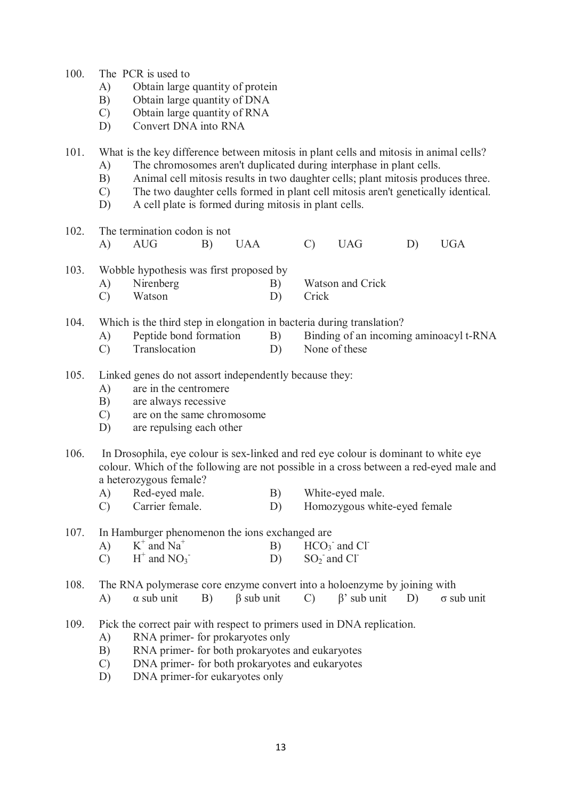- 100. The PCR is used to
	- A) Obtain large quantity of protein
	- B) Obtain large quantity of DNA
	- C) Obtain large quantity of RNA
	- D) Convert DNA into RNA

101. What is the key difference between mitosis in plant cells and mitosis in animal cells?

- A) The chromosomes aren't duplicated during interphase in plant cells.
- B) Animal cell mitosis results in two daughter cells; plant mitosis produces three.
- C) The two daughter cells formed in plant cell mitosis aren't genetically identical.
- D) A cell plate is formed during mitosis in plant cells.
- 102. The termination codon is not A) AUG B) UAA C) UAG D) UGA
- 103. Wobble hypothesis was first proposed by
	- A) Nirenberg B) Watson and Crick
	- C) Watson D) Crick
- 104. Which is the third step in elongation in bacteria during translation?
	- A) Peptide bond formation B) Binding of an incoming aminoacyl t-RNA
	- C) Translocation D) None of these
- 105. Linked genes do not assort independently because they:
	- A) are in the centromere
	- B) are always recessive
	- C) are on the same chromosome
	- D) are repulsing each other
- 106. In Drosophila, eye colour is sex-linked and red eye colour is dominant to white eye colour. Which of the following are not possible in a cross between a red-eyed male and a heterozygous female?
	- A) Red-eyed male. B) White-eyed male.<br>
	C) Carrier female. D) Homozygous white
	- C) Carrier female. D) Homozygous white-eyed female

107. In Hamburger phenomenon the ions exchanged are

- $A)$  $^+$  and Na<sup>+</sup> B) HCO<sub>3</sub> <sup>-</sup> and Cl<sup>-</sup>
- $\overline{C}$  $^+$  and NO<sub>3</sub>  $\text{SO}_2$  and Cl<sup>-</sup>

108. The RNA polymerase core enzyme convert into a holoenzyme by joining with

- A) α sub unit B) β sub unit C) β' sub unit D) σ sub unit
- 109. Pick the correct pair with respect to primers used in DNA replication.
	- A) RNA primer- for prokaryotes only
	- B) RNA primer- for both prokaryotes and eukaryotes
	- C) DNA primer- for both prokaryotes and eukaryotes
	- D) DNA primer-for eukaryotes only